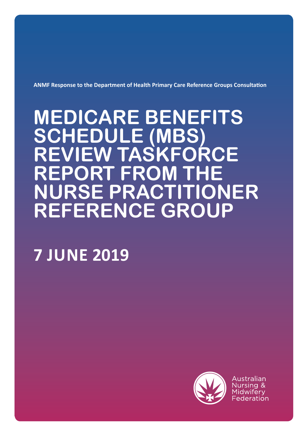**ANMF Response to the Department of Health Primary Care Reference Groups Consultation**

# **MEDICARE BENEFITS SCHEDULE (MBS) REVIEW TASKFORCE REPORT FROM THE NURSE PRACTITIONER REFERENCE GROUP**

# **7 JUNE 2019**



Australian Nursing & Midwiferv Federation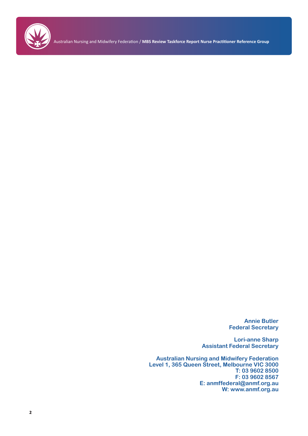

Australian Nursing and Midwifery Federation / **MBS Review Taskforce Report Nurse Practitioner Reference Group**

**Annie Butler Federal Secretary**

**Lori-anne Sharp Assistant Federal Secretary**

**Australian Nursing and Midwifery Federation Level 1, 365 Queen Street, Melbourne VIC 3000 T: 03 9602 8500 F: 03 9602 8567 E: anmffederal@anmf.org.au W: www.anmf.org.au**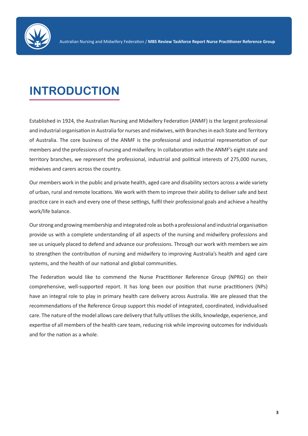

## **INTRODUCTION**

Established in 1924, the Australian Nursing and Midwifery Federation (ANMF) is the largest professional and industrial organisation in Australia for nurses and midwives, with Branches in each State and Territory of Australia. The core business of the ANMF is the professional and industrial representation of our members and the professions of nursing and midwifery. In collaboration with the ANMF's eight state and territory branches, we represent the professional, industrial and political interests of 275,000 nurses, midwives and carers across the country.

Our members work in the public and private health, aged care and disability sectors across a wide variety of urban, rural and remote locations. We work with them to improve their ability to deliver safe and best practice care in each and every one of these settings, fulfil their professional goals and achieve a healthy work/life balance.

Our strong and growing membership and integrated role as both a professional and industrial organisation provide us with a complete understanding of all aspects of the nursing and midwifery professions and see us uniquely placed to defend and advance our professions. Through our work with members we aim to strengthen the contribution of nursing and midwifery to improving Australia's health and aged care systems, and the health of our national and global communities.

The Federation would like to commend the Nurse Practitioner Reference Group (NPRG) on their comprehensive, well-supported report. It has long been our position that nurse practitioners (NPs) have an integral role to play in primary health care delivery across Australia. We are pleased that the recommendations of the Reference Group support this model of integrated, coordinated, individualised care. The nature of the model allows care delivery that fully utilises the skills, knowledge, experience, and expertise of all members of the health care team, reducing risk while improving outcomes for individuals and for the nation as a whole.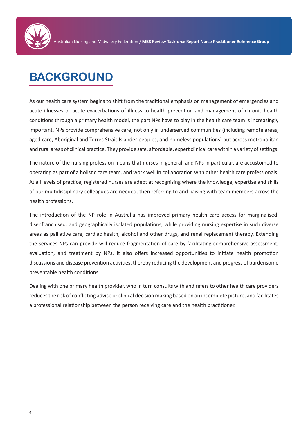

## **BACKGROUND**

As our health care system begins to shift from the traditional emphasis on management of emergencies and acute illnesses or acute exacerbations of illness to health prevention and management of chronic health conditions through a primary health model, the part NPs have to play in the health care team is increasingly important. NPs provide comprehensive care, not only in underserved communities (including remote areas, aged care, Aboriginal and Torres Strait Islander peoples, and homeless populations) but across metropolitan and rural areas of clinical practice. They provide safe, affordable, expert clinical care within a variety of settings.

The nature of the nursing profession means that nurses in general, and NPs in particular, are accustomed to operating as part of a holistic care team, and work well in collaboration with other health care professionals. At all levels of practice, registered nurses are adept at recognising where the knowledge, expertise and skills of our multidisciplinary colleagues are needed, then referring to and liaising with team members across the health professions.

The introduction of the NP role in Australia has improved primary health care access for marginalised, disenfranchised, and geographically isolated populations, while providing nursing expertise in such diverse areas as palliative care, cardiac health, alcohol and other drugs, and renal replacement therapy. Extending the services NPs can provide will reduce fragmentation of care by facilitating comprehensive assessment, evaluation, and treatment by NPs. It also offers increased opportunities to initiate health promotion discussions and disease prevention activities, thereby reducing the development and progress of burdensome preventable health conditions.

Dealing with one primary health provider, who in turn consults with and refers to other health care providers reduces the risk of conflicting advice or clinical decision making based on an incomplete picture, and facilitates a professional relationship between the person receiving care and the health practitioner.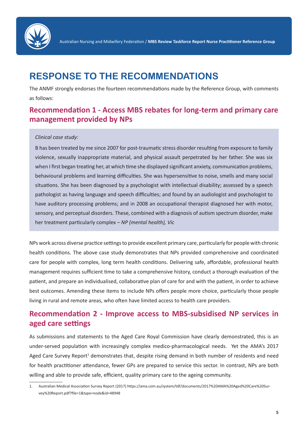

## **RESPONSE TO THE RECOMMENDATIONS**

The ANMF strongly endorses the fourteen recommendations made by the Reference Group, with comments as follows:

## **Recommendation 1 - Access MBS rebates for long-term and primary care management provided by NPs**

#### *Clinical case study:*

B has been treated by me since 2007 for post-traumatic stress disorder resulting from exposure to family violence, sexually inappropriate material, and physical assault perpetrated by her father. She was six when I first began treating her, at which time she displayed significant anxiety, communication problems, behavioural problems and learning difficulties. She was hypersensitive to noise, smells and many social situations. She has been diagnosed by a psychologist with intellectual disability; assessed by a speech pathologist as having language and speech difficulties; and found by an audiologist and psychologist to have auditory processing problems; and in 2008 an occupational therapist diagnosed her with motor, sensory, and perceptual disorders. These, combined with a diagnosis of autism spectrum disorder, make her treatment particularly complex – *NP (mental health), Vic*

NPs work across diverse practice settings to provide excellent primary care, particularly for people with chronic health conditions. The above case study demonstrates that NPs provided comprehensive and coordinated care for people with complex, long term health conditions. Delivering safe, affordable, professional health management requires sufficient time to take a comprehensive history, conduct a thorough evaluation of the patient, and prepare an individualised, collaborative plan of care for and with the patient, in order to achieve best outcomes. Amending these items to include NPs offers people more choice, particularly those people living in rural and remote areas, who often have limited access to health care providers.

#### **Recommendation 2 - Improve access to MBS-subsidised NP services in aged care settings**

As submissions and statements to the Aged Care Royal Commission have clearly demonstrated, this is an under-served population with increasingly complex medico-pharmacological needs. Yet the AMA's 2017 Aged Care Survey Report<sup>1</sup> demonstrates that, despite rising demand in both number of residents and need for health practitioner attendance, fewer GPs are prepared to service this sector. In contrast, NPs are both willing and able to provide safe, efficient, quality primary care to the ageing community.

<sup>1.</sup> Australian Medical Association Survey Report (2017) https://ama.com.au/system/tdf/documents/2017%20AMA%20Aged%20Care%20Survey%20Report.pdf?file=1&type=node&id=48948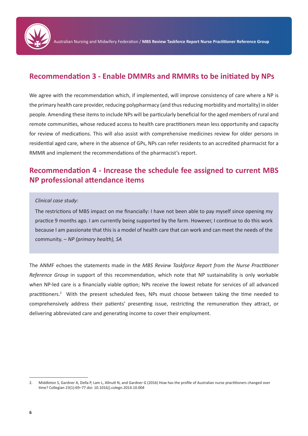

#### **Recommendation 3 - Enable DMMRs and RMMRs to be initiated by NPs**

We agree with the recommendation which, if implemented, will improve consistency of care where a NP is the primary health care provider, reducing polypharmacy (and thus reducing morbidity and mortality) in older people. Amending these items to include NPs will be particularly beneficial for the aged members of rural and remote communities, whose reduced access to health care practitioners mean less opportunity and capacity for review of medications. This will also assist with comprehensive medicines review for older persons in residential aged care, where in the absence of GPs, NPs can refer residents to an accredited pharmacist for a RMMR and implement the recommendations of the pharmacist's report.

#### **Recommendation 4 - Increase the schedule fee assigned to current MBS NP professional attendance items**

#### *Clinical case study:*

The restrictions of MBS impact on me financially: I have not been able to pay myself since opening my practice 9 months ago. I am currently being supported by the farm. However, I continue to do this work because I am passionate that this is a model of health care that can work and can meet the needs of the community. – *NP (primary health), SA*

The ANMF echoes the statements made in the *MBS Review Taskforce Report from the Nurse Practitioner Reference Group* in support of this recommendation, which note that NP sustainability is only workable when NP-led care is a financially viable option; NPs receive the lowest rebate for services of all advanced practitioners.<sup>2</sup> With the present scheduled fees, NPs must choose between taking the time needed to comprehensively address their patients' presenting issue, restricting the remuneration they attract, or delivering abbreviated care and generating income to cover their employment.

<sup>2.</sup> Middleton S, Gardner A, Della P, Lam L, Allnutt N, and Gardner G (2016) How has the profile of Australian nurse practitioners changed over time? Collegian 23(1):69–77 doi: 10.1016/j.colegn.2014.10.004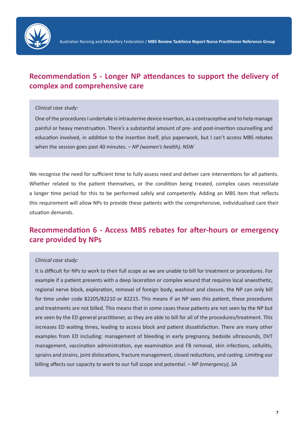

## **Recommendation 5 - Longer NP attendances to support the delivery of complex and comprehensive care**

#### *Clinical case study:*

One of the procedures I undertake is intrauterine device insertion, as a contraceptive and to help manage painful or heavy menstruation. There's a substantial amount of pre- and post-insertion counselling and education involved, in addition to the insertion itself, plus paperwork, but I can't access MBS rebates when the session goes past 40 minutes. – *NP (women's health), NSW*

We recognise the need for sufficient time to fully assess need and deliver care interventions for all patients. Whether related to the patient themselves, or the condition being treated, complex cases necessitate a longer time period for this to be performed safely and competently. Adding an MBS item that reflects this requirement will allow NPs to provide these patients with the comprehensive, individualised care their situation demands.

#### **Recommendation 6 - Access MBS rebates for after-hours or emergency care provided by NPs**

#### *Clinical case study:*

It is difficult for NPs to work to their full scope as we are unable to bill for treatment or procedures. For example if a patient presents with a deep laceration or complex wound that requires local anaesthetic, regional nerve block, exploration, removal of foreign body, washout and closure, the NP can only bill for time under code 82205/82210 or 82215. This means if an NP sees this patient, these procedures and treatments are not billed. This means that in some cases these patients are not seen by the NP but are seen by the ED general practitioner, as they are able to bill for all of the procedures/treatment. This increases ED waiting times, leading to access block and patient dissatisfaction. There are many other examples from ED including: management of bleeding in early pregnancy, bedside ultrasounds, DVT management, vaccination administration, eye examination and FB removal, skin infections, cellulitis, sprains and strains, joint dislocations, fracture management, closed reductions, and casting. Limiting our billing affects our capacity to work to our full scope and potential. – *NP (emergency), SA*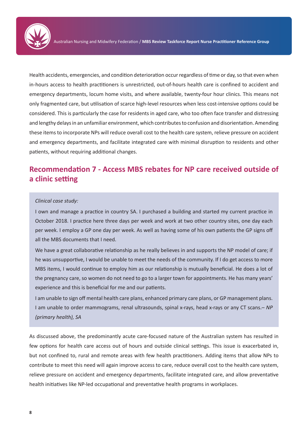Health accidents, emergencies, and condition deterioration occur regardless of time or day, so that even when in-hours access to health practitioners is unrestricted, out-of-hours health care is confined to accident and emergency departments, locum home visits, and where available, twenty-four hour clinics. This means not only fragmented care, but utilisation of scarce high-level resources when less cost-intensive options could be considered. This is particularly the case for residents in aged care, who too often face transfer and distressing and lengthy delays in an unfamiliar environment, which contributes to confusion and disorientation. Amending these items to incorporate NPs will reduce overall cost to the health care system, relieve pressure on accident and emergency departments, and facilitate integrated care with minimal disruption to residents and other patients, without requiring additional changes.

## **Recommendation 7 - Access MBS rebates for NP care received outside of a clinic setting**

#### *Clinical case study:*

I own and manage a practice in country SA. I purchased a building and started my current practice in October 2018. I practice here three days per week and work at two other country sites, one day each per week. I employ a GP one day per week. As well as having some of his own patients the GP signs off all the MBS documents that I need.

We have a great collaborative relationship as he really believes in and supports the NP model of care; if he was unsupportive, I would be unable to meet the needs of the community. If I do get access to more MBS items, I would continue to employ him as our relationship is mutually beneficial. He does a lot of the pregnancy care, so women do not need to go to a larger town for appointments. He has many years' experience and this is beneficial for me and our patients.

I am unable to sign off mental health care plans, enhanced primary care plans, or GP management plans. I am unable to order mammograms, renal ultrasounds, spinal x-rays, head x-rays or any CT scans.– *NP (primary health), SA*

As discussed above, the predominantly acute care-focused nature of the Australian system has resulted in few options for health care access out of hours and outside clinical settings. This issue is exacerbated in, but not confined to, rural and remote areas with few health practitioners. Adding items that allow NPs to contribute to meet this need will again improve access to care, reduce overall cost to the health care system, relieve pressure on accident and emergency departments, facilitate integrated care, and allow preventative health initiatives like NP-led occupational and preventative health programs in workplaces.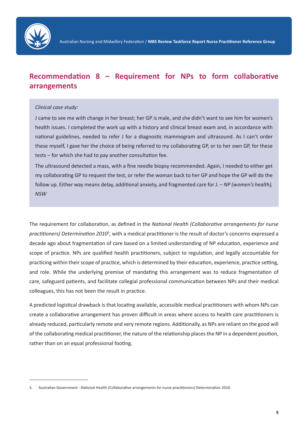

## **Recommendation 8 – Requirement for NPs to form collaborative arrangements**

#### *Clinical case study:*

J came to see me with change in her breast; her GP is male, and she didn't want to see him for women's health issues. I completed the work up with a history and clinical breast exam and, in accordance with national guidelines, needed to refer J for a diagnostic mammogram and ultrasound. As I can't order these myself, I gave her the choice of being referred to my collaborating GP, or to her own GP, for these tests – for which she had to pay another consultation fee.

The ultrasound detected a mass, with a fine needle biopsy recommended. Again, I needed to either get my collaborating GP to request the test, or refer the woman back to her GP and hope the GP will do the follow up. Either way means delay, additional anxiety, and fragmented care for J. – *NP (women's health), NSW*

The requirement for collaboration, as defined in the *National Health (Collaborative arrangements for nurse*  practitioners) Determination 2010<sup>3</sup>, with a medical practitioner is the result of doctor's concerns expressed a decade ago about fragmentation of care based on a limited understanding of NP education, experience and scope of practice. NPs are qualified health practitioners, subject to regulation, and legally accountable for practicing within their scope of practice, which is determined by their education, experience, practice setting, and role. While the underlying premise of mandating this arrangement was to reduce fragmentation of care, safeguard patients, and facilitate collegial professional communication between NPs and their medical colleagues, this has not been the result in practice.

A predicted logistical drawback is that locating available, accessible medical practitioners with whom NPs can create a collaborative arrangement has proven difficult in areas where access to health care practitioners is already reduced, particularly remote and very remote regions. Additionally, as NPs are reliant on the good will of the collaborating medical practitioner, the nature of the relationship places the NP in a dependent position, rather than on an equal professional footing.

<sup>3.</sup> Australian Government - National Health (Collaborative arrangements for nurse practitioners) Determination 2010.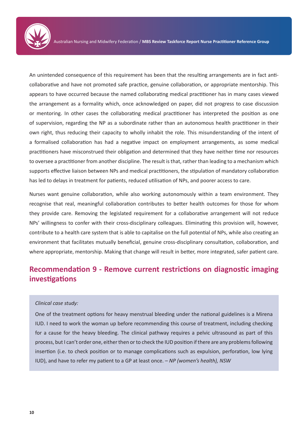

An unintended consequence of this requirement has been that the resulting arrangements are in fact anticollaborative and have not promoted safe practice, genuine collaboration, or appropriate mentorship. This appears to have occurred because the named collaborating medical practitioner has in many cases viewed the arrangement as a formality which, once acknowledged on paper, did not progress to case discussion or mentoring. In other cases the collaborating medical practitioner has interpreted the position as one of supervision, regarding the NP as a subordinate rather than an autonomous health practitioner in their own right, thus reducing their capacity to wholly inhabit the role. This misunderstanding of the intent of a formalised collaboration has had a negative impact on employment arrangements, as some medical practitioners have misconstrued their obligation and determined that they have neither time nor resources to oversee a practitioner from another discipline. The result is that, rather than leading to a mechanism which supports effective liaison between NPs and medical practitioners, the stipulation of mandatory collaboration has led to delays in treatment for patients, reduced utilisation of NPs, and poorer access to care.

Nurses want genuine collaboration, while also working autonomously within a team environment. They recognise that real, meaningful collaboration contributes to better health outcomes for those for whom they provide care. Removing the legislated requirement for a collaborative arrangement will not reduce NPs' willingness to confer with their cross-disciplinary colleagues. Eliminating this provision will, however, contribute to a health care system that is able to capitalise on the full potential of NPs, while also creating an environment that facilitates mutually beneficial, genuine cross-disciplinary consultation, collaboration, and where appropriate, mentorship. Making that change will result in better, more integrated, safer patient care.

## **Recommendation 9 - Remove current restrictions on diagnostic imaging investigations**

#### *Clinical case study:*

One of the treatment options for heavy menstrual bleeding under the national guidelines is a Mirena IUD. I need to work the woman up before recommending this course of treatment, including checking for a cause for the heavy bleeding. The clinical pathway requires a pelvic ultrasound as part of this process, but I can't order one, either then or to check the IUD position if there are any problems following insertion (i.e. to check position or to manage complications such as expulsion, perforation, low lying IUD), and have to refer my patient to a GP at least once. – *NP (women's health), NSW*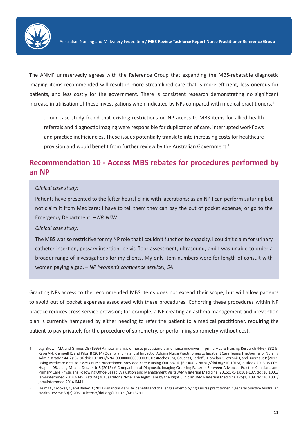

The ANMF unreservedly agrees with the Reference Group that expanding the MBS-rebatable diagnostic imaging items recommended will result in more streamlined care that is more efficient, less onerous for patients, and less costly for the government. There is consistent research demonstrating no significant increase in utilisation of these investigations when indicated by NPs compared with medical practitioners.<sup>4</sup>

… our case study found that existing restrictions on NP access to MBS items for allied health referrals and diagnostic imaging were responsible for duplication of care, interrupted workflows and practice inefficiencies. These issues potentially translate into increasing costs for healthcare provision and would benefit from further review by the Australian Government.<sup>5</sup>

#### **Recommendation 10 - Access MBS rebates for procedures performed by an NP**

#### *Clinical case study:*

Patients have presented to the [after hours] clinic with lacerations; as an NP I can perform suturing but not claim it from Medicare; I have to tell them they can pay the out of pocket expense, or go to the Emergency Department. – *NP, NSW*

#### *Clinical case study:*

The MBS was so restrictive for my NP role that I couldn't function to capacity. I couldn't claim for urinary catheter insertion, pessary insertion, pelvic floor assessment, ultrasound, and I was unable to order a broader range of investigations for my clients. My only item numbers were for length of consult with women paying a gap. – *NP (women's continence service), SA*

Granting NPs access to the recommended MBS items does not extend their scope, but will allow patients to avoid out of pocket expenses associated with these procedures. Cohorting these procedures within NP practice reduces cross-service provision; for example, a NP creating an asthma management and prevention plan is currently hampered by either needing to refer the patient to a medical practitioner, requiring the patient to pay privately for the procedure of spirometry, or performing spirometry without cost.

<sup>4.</sup> e.g. Brown MA and Grimes DE (1995) A meta-analysis of nurse practitioners and nurse midwives in primary care Nursing Research 44(6): 332-9; Kapu AN, Kleinpell R, and Pilon B (2014) Quality and Financial Impact of Adding Nurse Practitioners to Inpatient Care Teams The Journal of Nursing Administration 44(2): 87-96 doi: 10.1097/NNA.0000000000000031; DesRoches CM, Gaudet J, Perloff J, Donelan K, Iezzoni LI, and Buerhaus P (2013) Using Medicare data to assess nurse practitioner–provided care Nursing Outlook 61(6): 400-7 https://doi.org/10.1016/j.outlook.2013.05.005; Hughes DR, Jiang M, and Duszak Jr R (2015) A Comparison of Diagnostic Imaging Ordering Patterns Between Advanced Practice Clinicians and Primary Care Physicians Following Office-Based Evaluation and Management Visits JAMA Internal Medicine. 2015;175(1):101-107. doi:10.1001/ jamainternmed.2014.6349; Katz M (2015) Editor's Note: The Right Care by the Right Clinician JAMA Internal Medicine 175(1):108. doi:10.1001/ jamainternmed.2014.6441

<sup>5.</sup> Helms C, Crookes, C, and Bailey D (2013) Financial viability, benefits and challenges of employing a nurse practitioner in general practice Australian Health Review 39(2) 205-10 https://doi.org/10.1071/AH13231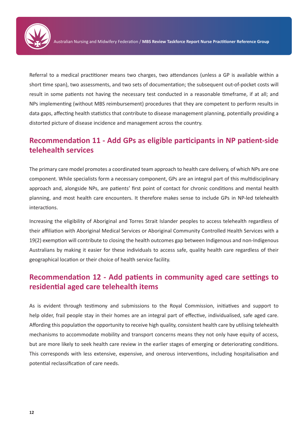

Referral to a medical practitioner means two charges, two attendances (unless a GP is available within a short time span), two assessments, and two sets of documentation; the subsequent out-of-pocket costs will result in some patients not having the necessary test conducted in a reasonable timeframe, if at all; and NPs implementing (without MBS reimbursement) procedures that they are competent to perform results in data gaps, affecting health statistics that contribute to disease management planning, potentially providing a distorted picture of disease incidence and management across the country.

## **Recommendation 11 - Add GPs as eligible participants in NP patient-side telehealth services**

The primary care model promotes a coordinated team approach to health care delivery, of which NPs are one component. While specialists form a necessary component, GPs are an integral part of this multidisciplinary approach and, alongside NPs, are patients' first point of contact for chronic conditions and mental health planning, and most health care encounters. It therefore makes sense to include GPs in NP-led telehealth interactions.

Increasing the eligibility of Aboriginal and Torres Strait Islander peoples to access telehealth regardless of their affiliation with Aboriginal Medical Services or Aboriginal Community Controlled Health Services with a 19(2) exemption will contribute to closing the health outcomes gap between Indigenous and non-Indigenous Australians by making it easier for these individuals to access safe, quality health care regardless of their geographical location or their choice of health service facility.

## **Recommendation 12 - Add patients in community aged care settings to residential aged care telehealth items**

As is evident through testimony and submissions to the Royal Commission, initiatives and support to help older, frail people stay in their homes are an integral part of effective, individualised, safe aged care. Affording this population the opportunity to receive high quality, consistent health care by utilising telehealth mechanisms to accommodate mobility and transport concerns means they not only have equity of access, but are more likely to seek health care review in the earlier stages of emerging or deteriorating conditions. This corresponds with less extensive, expensive, and onerous interventions, including hospitalisation and potential reclassification of care needs.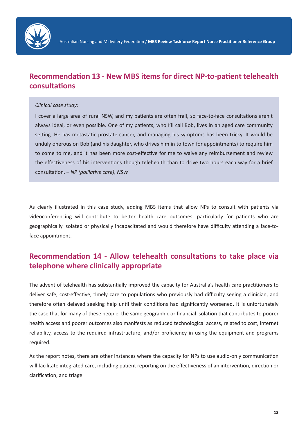

## **Recommendation 13 - New MBS items for direct NP-to-patient telehealth consultations**

#### *Clinical case study:*

I cover a large area of rural NSW, and my patients are often frail, so face-to-face consultations aren't always ideal, or even possible. One of my patients, who I'll call Bob, lives in an aged care community setting. He has metastatic prostate cancer, and managing his symptoms has been tricky. It would be unduly onerous on Bob (and his daughter, who drives him in to town for appointments) to require him to come to me, and it has been more cost-effective for me to waive any reimbursement and review the effectiveness of his interventions though telehealth than to drive two hours each way for a brief consultation. – *NP (palliative care), NSW*

As clearly illustrated in this case study, adding MBS items that allow NPs to consult with patients via videoconferencing will contribute to better health care outcomes, particularly for patients who are geographically isolated or physically incapacitated and would therefore have difficulty attending a face-toface appointment.

## **Recommendation 14 - Allow telehealth consultations to take place via telephone where clinically appropriate**

The advent of telehealth has substantially improved the capacity for Australia's health care practitioners to deliver safe, cost-effective, timely care to populations who previously had difficulty seeing a clinician, and therefore often delayed seeking help until their conditions had significantly worsened. It is unfortunately the case that for many of these people, the same geographic or financial isolation that contributes to poorer health access and poorer outcomes also manifests as reduced technological access, related to cost, internet reliability, access to the required infrastructure, and/or proficiency in using the equipment and programs required.

As the report notes, there are other instances where the capacity for NPs to use audio-only communication will facilitate integrated care, including patient reporting on the effectiveness of an intervention, direction or clarification, and triage.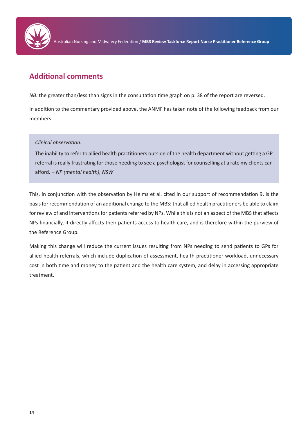

Australian Nursing and Midwifery Federation / **MBS Review Taskforce Report Nurse Practitioner Reference Group**

## **Additional comments**

*NB:* the greater than/less than signs in the consultation time graph on p. 38 of the report are reversed.

In addition to the commentary provided above, the ANMF has taken note of the following feedback from our members:

#### *Clinical observation:*

The inability to refer to allied health practitioners outside of the health department without getting a GP referral is really frustrating for those needing to see a psychologist for counselling at a rate my clients can afford. – *NP (mental health), NSW*

This, in conjunction with the observation by Helms et al. cited in our support of recommendation 9, is the basis for recommendation of an additional change to the MBS: that allied health practitioners be able to claim for review of and interventions for patients referred by NPs. While this is not an aspect of the MBS that affects NPs financially, it directly affects their patients access to health care, and is therefore within the purview of the Reference Group.

Making this change will reduce the current issues resulting from NPs needing to send patients to GPs for allied health referrals, which include duplication of assessment, health practitioner workload, unnecessary cost in both time and money to the patient and the health care system, and delay in accessing appropriate treatment.